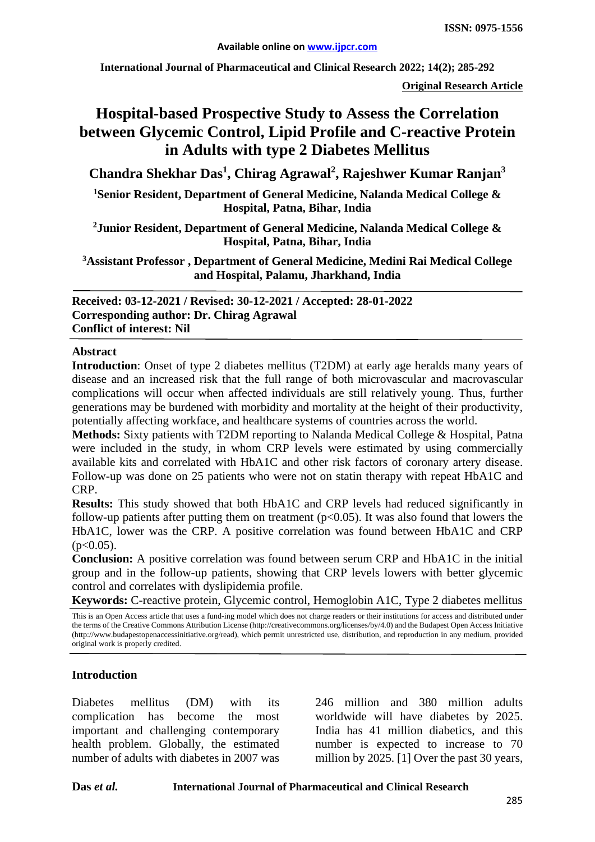**International Journal of Pharmaceutical and Clinical Research 2022; 14(2); 285-292**

**Original Research Article**

# **Hospital-based Prospective Study to Assess the Correlation between Glycemic Control, Lipid Profile and C-reactive Protein in Adults with type 2 Diabetes Mellitus**

**Chandra Shekhar Das<sup>1</sup> , Chirag Agrawal<sup>2</sup> , Rajeshwer Kumar Ranjan3**

**1 Senior Resident, Department of General Medicine, Nalanda Medical College & Hospital, Patna, Bihar, India**

**2Junior Resident, Department of General Medicine, Nalanda Medical College & Hospital, Patna, Bihar, India**

**3Assistant Professor , Department of General Medicine, Medini Rai Medical College and Hospital, Palamu, Jharkhand, India**

**Received: 03-12-2021 / Revised: 30-12-2021 / Accepted: 28-01-2022 Corresponding author: Dr. Chirag Agrawal Conflict of interest: Nil**

#### **Abstract**

**Introduction**: Onset of type 2 diabetes mellitus (T2DM) at early age heralds many years of disease and an increased risk that the full range of both microvascular and macrovascular complications will occur when affected individuals are still relatively young. Thus, further generations may be burdened with morbidity and mortality at the height of their productivity, potentially affecting workface, and healthcare systems of countries across the world.

**Methods:** Sixty patients with T2DM reporting to Nalanda Medical College & Hospital, Patna were included in the study, in whom CRP levels were estimated by using commercially available kits and correlated with HbA1C and other risk factors of coronary artery disease. Follow-up was done on 25 patients who were not on statin therapy with repeat HbA1C and CRP.

**Results:** This study showed that both HbA1C and CRP levels had reduced significantly in follow-up patients after putting them on treatment  $(p<0.05)$ . It was also found that lowers the HbA1C, lower was the CRP. A positive correlation was found between HbA1C and CRP  $(p<0.05)$ .

**Conclusion:** A positive correlation was found between serum CRP and HbA1C in the initial group and in the follow-up patients, showing that CRP levels lowers with better glycemic control and correlates with dyslipidemia profile.

**Keywords:** C-reactive protein, Glycemic control, Hemoglobin A1C, Type 2 diabetes mellitus

This is an Open Access article that uses a fund-ing model which does not charge readers or their institutions for access and distributed under the terms of the Creative Commons Attribution License (http://creativecommons.org/licenses/by/4.0) and the Budapest Open Access Initiative (http://www.budapestopenaccessinitiative.org/read), which permit unrestricted use, distribution, and reproduction in any medium, provided original work is properly credited.

#### **Introduction**

Diabetes mellitus (DM) with its complication has become the most important and challenging contemporary health problem. Globally, the estimated number of adults with diabetes in 2007 was

246 million and 380 million adults worldwide will have diabetes by 2025. India has 41 million diabetics, and this number is expected to increase to 70 million by 2025. [1] Over the past 30 years,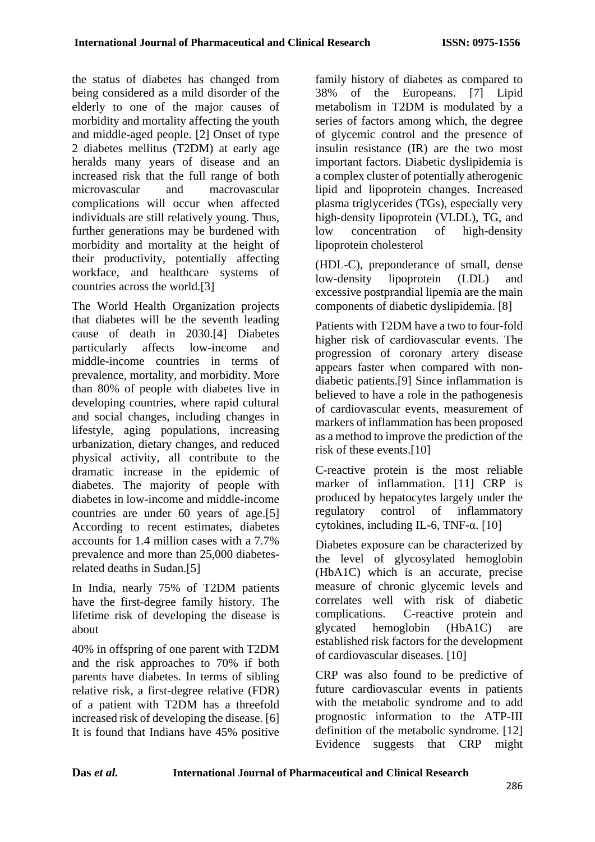the status of diabetes has changed from being considered as a mild disorder of the elderly to one of the major causes of morbidity and mortality affecting the youth and middle-aged people. [2] Onset of type 2 diabetes mellitus (T2DM) at early age heralds many years of disease and an increased risk that the full range of both microvascular and macrovascular complications will occur when affected individuals are still relatively young. Thus, further generations may be burdened with morbidity and mortality at the height of their productivity, potentially affecting workface, and healthcare systems of countries across the world.[3]

The World Health Organization projects that diabetes will be the seventh leading cause of death in 2030.[4] Diabetes particularly affects low-income and middle-income countries in terms of prevalence, mortality, and morbidity. More than 80% of people with diabetes live in developing countries, where rapid cultural and social changes, including changes in lifestyle, aging populations, increasing urbanization, dietary changes, and reduced physical activity, all contribute to the dramatic increase in the epidemic of diabetes. The majority of people with diabetes in low-income and middle-income countries are under 60 years of age.[5] According to recent estimates, diabetes accounts for 1.4 million cases with a 7.7% prevalence and more than 25,000 diabetesrelated deaths in Sudan.[5]

In India, nearly 75% of T2DM patients have the first-degree family history. The lifetime risk of developing the disease is about

40% in offspring of one parent with T2DM and the risk approaches to 70% if both parents have diabetes. In terms of sibling relative risk, a first-degree relative (FDR) of a patient with T2DM has a threefold increased risk of developing the disease. [6] It is found that Indians have 45% positive

family history of diabetes as compared to 38% of the Europeans. [7] Lipid metabolism in T2DM is modulated by a series of factors among which, the degree of glycemic control and the presence of insulin resistance (IR) are the two most important factors. Diabetic dyslipidemia is a complex cluster of potentially atherogenic lipid and lipoprotein changes. Increased plasma triglycerides (TGs), especially very high-density lipoprotein (VLDL), TG, and low concentration of high-density lipoprotein cholesterol

(HDL-C), preponderance of small, dense low-density lipoprotein (LDL) and excessive postprandial lipemia are the main components of diabetic dyslipidemia. [8]

Patients with T2DM have a two to four-fold higher risk of cardiovascular events. The progression of coronary artery disease appears faster when compared with nondiabetic patients.[9] Since inflammation is believed to have a role in the pathogenesis of cardiovascular events, measurement of markers of inflammation has been proposed as a method to improve the prediction of the risk of these events.[10]

C-reactive protein is the most reliable marker of inflammation. [11] CRP is produced by hepatocytes largely under the regulatory control of inflammatory cytokines, including IL-6, TNF- $α$ . [10]

Diabetes exposure can be characterized by the level of glycosylated hemoglobin (HbA1C) which is an accurate, precise measure of chronic glycemic levels and correlates well with risk of diabetic complications. C-reactive protein and glycated hemoglobin (HbA1C) are established risk factors for the development of cardiovascular diseases. [10]

CRP was also found to be predictive of future cardiovascular events in patients with the metabolic syndrome and to add prognostic information to the ATP-III definition of the metabolic syndrome. [12] Evidence suggests that CRP might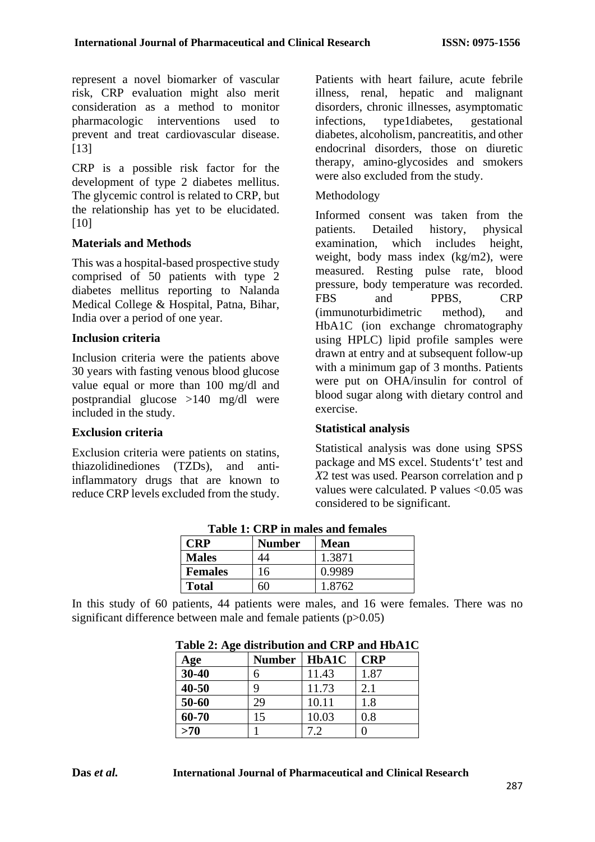represent a novel biomarker of vascular risk, CRP evaluation might also merit consideration as a method to monitor pharmacologic interventions used to prevent and treat cardiovascular disease. [13]

CRP is a possible risk factor for the development of type 2 diabetes mellitus. The glycemic control is related to CRP, but the relationship has yet to be elucidated. [10]

### **Materials and Methods**

This was a hospital-based prospective study comprised of 50 patients with type 2 diabetes mellitus reporting to Nalanda Medical College & Hospital, Patna, Bihar, India over a period of one year.

### **Inclusion criteria**

Inclusion criteria were the patients above 30 years with fasting venous blood glucose value equal or more than 100 mg/dl and postprandial glucose >140 mg/dl were included in the study.

### **Exclusion criteria**

Exclusion criteria were patients on statins, thiazolidinediones (TZDs), and antiinflammatory drugs that are known to reduce CRP levels excluded from the study. Patients with heart failure, acute febrile illness, renal, hepatic and malignant disorders, chronic illnesses, asymptomatic infections, type1diabetes, gestational diabetes, alcoholism, pancreatitis, and other endocrinal disorders, those on diuretic therapy, amino-glycosides and smokers were also excluded from the study.

## Methodology

Informed consent was taken from the patients. Detailed history, physical examination, which includes height, weight, body mass index (kg/m2), were measured. Resting pulse rate, blood pressure, body temperature was recorded. FBS and PPBS, CRP (immunoturbidimetric method), and HbA1C (ion exchange chromatography using HPLC) lipid profile samples were drawn at entry and at subsequent follow-up with a minimum gap of 3 months. Patients were put on OHA/insulin for control of blood sugar along with dietary control and exercise.

## **Statistical analysis**

Statistical analysis was done using SPSS package and MS excel. Students't' test and *X*2 test was used. Pearson correlation and p values were calculated. P values <0.05 was considered to be significant.

| Table 1: CKF In males and remales |               |             |  |
|-----------------------------------|---------------|-------------|--|
| <b>CRP</b>                        | <b>Number</b> | <b>Mean</b> |  |
| <b>Males</b>                      | 44            | 1.3871      |  |
| <b>Females</b>                    | 16            | 0.9989      |  |
| <b>Total</b>                      | 60            | 1.8762      |  |

**Table 1: CRP in males and females**

In this study of 60 patients, 44 patients were males, and 16 were females. There was no significant difference between male and female patients (p>0.05)

| $\mathbf{\sigma}$<br>Age | <b>Number</b> | HbA1C | <b>CRP</b> |
|--------------------------|---------------|-------|------------|
| $30 - 40$                | 6             | 11.43 | 1.87       |
| $40 - 50$                | 9             | 11.73 | 2.1        |
| 50-60                    | 29            | 10.11 | 1.8        |
| 60-70                    | 15            | 10.03 | 0.8        |
| $>70$                    |               |       |            |

**Table 2: Age distribution and CRP and HbA1C**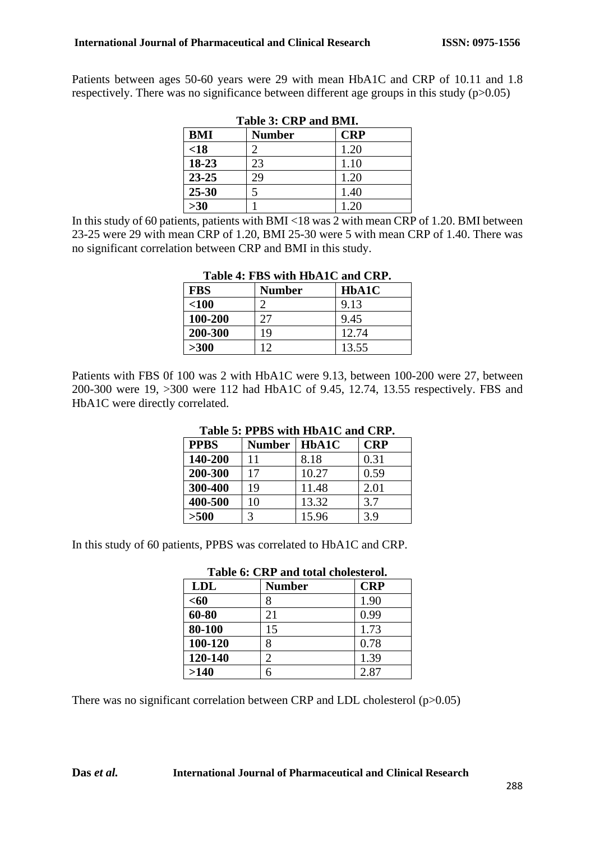Patients between ages 50-60 years were 29 with mean HbA1C and CRP of 10.11 and 1.8 respectively. There was no significance between different age groups in this study  $(p>0.05)$ 

| Table 5: URF and DMII. |               |            |
|------------------------|---------------|------------|
| <b>BMI</b>             | <b>Number</b> | <b>CRP</b> |
| <18                    |               | 1.20       |
| 18-23                  | 23            | 1.10       |
| $23 - 25$              | 29            | 1.20       |
| $25 - 30$              | 5             | 1.40       |
| $>30$                  |               | 1.20       |

| Table 3: CRP and BMI. |  |  |  |
|-----------------------|--|--|--|
|-----------------------|--|--|--|

In this study of 60 patients, patients with BMI <18 was 2 with mean CRP of 1.20. BMI between 23-25 were 29 with mean CRP of 1.20, BMI 25-30 were 5 with mean CRP of 1.40. There was no significant correlation between CRP and BMI in this study.

| <b>FBS</b> | <b>Number</b> | HbA1C |
|------------|---------------|-------|
| < 100      |               | 9.13  |
| 100-200    |               | 9.45  |
| 200-300    | 19            | 12.74 |
| >300       |               | 13.55 |

#### **Table 4: FBS with HbA1C and CRP.**

Patients with FBS 0f 100 was 2 with HbA1C were 9.13, between 100-200 were 27, between 200-300 were 19, >300 were 112 had HbA1C of 9.45, 12.74, 13.55 respectively. FBS and HbA1C were directly correlated.

| Table 5: FFBS WILL HDATU alld UNF. |        |       |            |
|------------------------------------|--------|-------|------------|
| <b>PPBS</b>                        | Number | HbA1C | <b>CRP</b> |
| 140-200                            | 11     | 8.18  | 0.31       |
| 200-300                            | 17     | 10.27 | 0.59       |
| 300-400                            | 19     | 11.48 | 2.01       |
| 400-500                            | 10     | 13.32 | 3.7        |
| $>500$                             | 3      | 15.96 | 3.9        |

### **Table 5: PPBS with HbA1C and CRP.**

In this study of 60 patients, PPBS was correlated to HbA1C and CRP.

| radic v. Citr and ivan cholodori di |                             |      |  |
|-------------------------------------|-----------------------------|------|--|
| <b>LDL</b>                          | <b>CRP</b><br><b>Number</b> |      |  |
| $60$                                | 8                           | 1.90 |  |
| 60-80                               | 21                          | 0.99 |  |
| 80-100                              | 15                          | 1.73 |  |
| 100-120                             | 8                           | 0.78 |  |
| 120-140                             | $\mathcal{D}_{\mathcal{L}}$ | 1.39 |  |
| >140                                | б                           | 2.87 |  |

# **Table 6: CRP and total cholesterol.**

There was no significant correlation between CRP and LDL cholesterol  $(p>0.05)$ 

#### **Das** *et al.* **International Journal of Pharmaceutical and Clinical Research**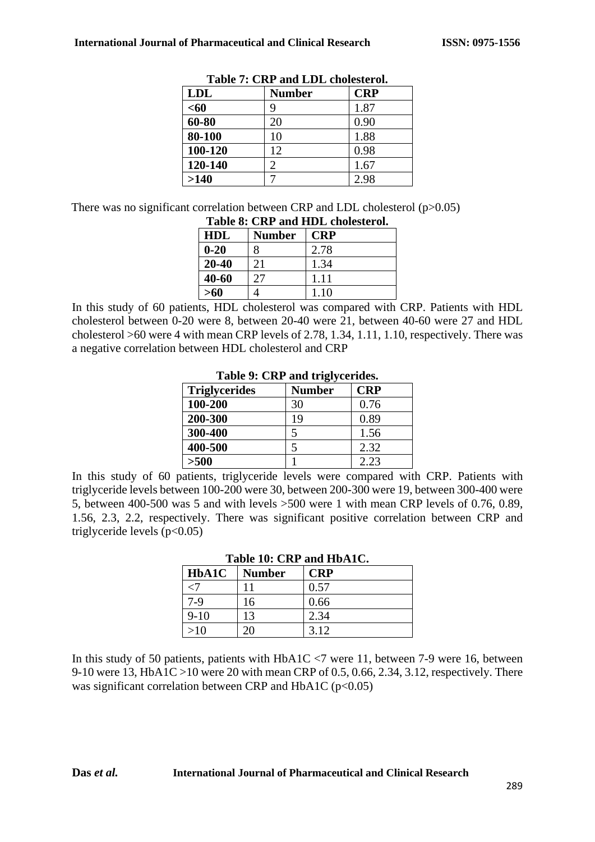| <b>LDL</b> | <b>Number</b> | <b>CRP</b> |
|------------|---------------|------------|
| $60$       | Q             | 1.87       |
| 60-80      | 20            | 0.90       |
| 80-100     | 10            | 1.88       |
| 100-120    | 12            | 0.98       |
| 120-140    | 2             | 1.67       |
| >140       |               | 2.98       |

**Table 7: CRP and LDL cholesterol.**

There was no significant correlation between CRP and LDL cholesterol  $(p>0.05)$ **Table 8: CRP and HDL cholesterol.**

| Table 6. CKT and TIDL cholesterol. |               |            |
|------------------------------------|---------------|------------|
| HDL                                | <b>Number</b> | <b>CRP</b> |
| $0 - 20$                           | 8             | 2.78       |
| 20-40                              | 21            | 1.34       |
| $40 - 60$                          | 27            | 1.11       |
| >60                                |               | 1.10       |

In this study of 60 patients, HDL cholesterol was compared with CRP. Patients with HDL cholesterol between 0-20 were 8, between 20-40 were 21, between 40-60 were 27 and HDL cholesterol >60 were 4 with mean CRP levels of 2.78, 1.34, 1.11, 1.10, respectively. There was a negative correlation between HDL cholesterol and CRP

| rable ). UNI and trigived fues. |               |            |  |
|---------------------------------|---------------|------------|--|
| <b>Triglycerides</b>            | <b>Number</b> | <b>CRP</b> |  |
| 100-200                         | 30            | 0.76       |  |
| 200-300                         | 19            | 0.89       |  |
| 300-400                         | 5             | 1.56       |  |
| 400-500                         | 5             | 2.32       |  |
| >500                            |               | 2.23       |  |

|  |  |  |  | Table 9: CRP and triglycerides. |
|--|--|--|--|---------------------------------|
|--|--|--|--|---------------------------------|

In this study of 60 patients, triglyceride levels were compared with CRP. Patients with triglyceride levels between 100-200 were 30, between 200-300 were 19, between 300-400 were 5, between 400-500 was 5 and with levels >500 were 1 with mean CRP levels of 0.76, 0.89, 1.56, 2.3, 2.2, respectively. There was significant positive correlation between CRP and triglyceride levels  $(p<0.05)$ 

| HbA1C  | <b>Number</b> | <b>CRP</b> |
|--------|---------------|------------|
|        |               | 0.57       |
| $7-9$  | 16            | 0.66       |
| $9-10$ | 13            | 2.34       |
| $>10$  | 20            | 3.12       |

# **Table 10: CRP and HbA1C.**

In this study of 50 patients, patients with HbA1C <7 were 11, between 7-9 were 16, between 9-10 were 13, HbA1C >10 were 20 with mean CRP of 0.5, 0.66, 2.34, 3.12, respectively. There was significant correlation between CRP and HbA1C ( $p<0.05$ )

#### **Das** *et al.* **International Journal of Pharmaceutical and Clinical Research**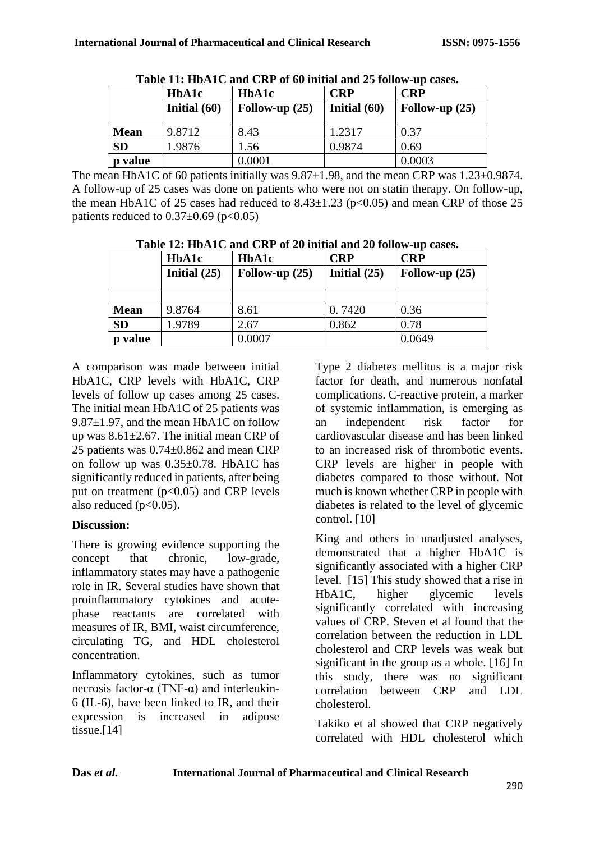| Table 11: HDATC and CRP of by initial and 25 follow-up cases. |                |                  |                |                  |  |  |
|---------------------------------------------------------------|----------------|------------------|----------------|------------------|--|--|
|                                                               | HbA1c          | HbA1c            | <b>CRP</b>     | <b>CRP</b>       |  |  |
|                                                               | Initial $(60)$ | Follow-up $(25)$ | Initial $(60)$ | Follow-up $(25)$ |  |  |
| <b>Mean</b>                                                   | 9.8712         | 8.43             | 1.2317         | 0.37             |  |  |
| <b>SD</b>                                                     | 1.9876         | 1.56             | 0.9874         | 0.69             |  |  |
| value                                                         |                | 0.0001           |                | 0.0003           |  |  |

**Table 11: HbA1C and CRP of 60 initial and 25 follow-up cases.**

The mean HbA1C of 60 patients initially was  $9.87\pm1.98$ , and the mean CRP was  $1.23\pm0.9874$ . A follow-up of 25 cases was done on patients who were not on statin therapy. On follow-up, the mean HbA1C of 25 cases had reduced to  $8.43 \pm 1.23$  (p<0.05) and mean CRP of those 25 patients reduced to  $0.37\pm0.69$  (p<0.05)

| Table 12, Hbh I cand City of 20 million and 20 follow up capes. |                |                  |                |                  |  |  |
|-----------------------------------------------------------------|----------------|------------------|----------------|------------------|--|--|
|                                                                 | <b>HbA1c</b>   | <b>HbA1c</b>     | <b>CRP</b>     | <b>CRP</b>       |  |  |
|                                                                 | Initial $(25)$ | Follow-up $(25)$ | Initial $(25)$ | Follow-up $(25)$ |  |  |
|                                                                 |                |                  |                |                  |  |  |
| <b>Mean</b>                                                     | 9.8764         | 8.61             | 0.7420         | 0.36             |  |  |
| <b>SD</b>                                                       | 1.9789         | 2.67             | 0.862          | 0.78             |  |  |
| p value                                                         |                | 0.0007           |                | 0.0649           |  |  |

**Table 12: HbA1C and CRP of 20 initial and 20 follow-up cases.**

A comparison was made between initial HbA1C, CRP levels with HbA1C, CRP levels of follow up cases among 25 cases. The initial mean HbA1C of 25 patients was 9.87±1.97, and the mean HbA1C on follow up was 8.61±2.67. The initial mean CRP of 25 patients was 0.74±0.862 and mean CRP on follow up was  $0.35\pm0.78$ . HbA1C has significantly reduced in patients, after being put on treatment  $(p<0.05)$  and CRP levels also reduced  $(p<0.05)$ .

### **Discussion:**

There is growing evidence supporting the concept that chronic, low-grade, inflammatory states may have a pathogenic role in IR. Several studies have shown that proinflammatory cytokines and acutephase reactants are correlated with measures of IR, BMI, waist circumference, circulating TG, and HDL cholesterol concentration.

Inflammatory cytokines, such as tumor necrosis factor- $\alpha$  (TNF- $\alpha$ ) and interleukin-6 (IL-6), have been linked to IR, and their expression is increased in adipose tissue.[14]

Type 2 diabetes mellitus is a major risk factor for death, and numerous nonfatal complications. C-reactive protein, a marker of systemic inflammation, is emerging as an independent risk factor for cardiovascular disease and has been linked to an increased risk of thrombotic events. CRP levels are higher in people with diabetes compared to those without. Not much is known whether CRP in people with diabetes is related to the level of glycemic control. [10]

King and others in unadjusted analyses, demonstrated that a higher HbA1C is significantly associated with a higher CRP level. [15] This study showed that a rise in HbA1C, higher glycemic levels significantly correlated with increasing values of CRP. Steven et al found that the correlation between the reduction in LDL cholesterol and CRP levels was weak but significant in the group as a whole. [16] In this study, there was no significant correlation between CRP and LDL cholesterol.

Takiko et al showed that CRP negatively correlated with HDL cholesterol which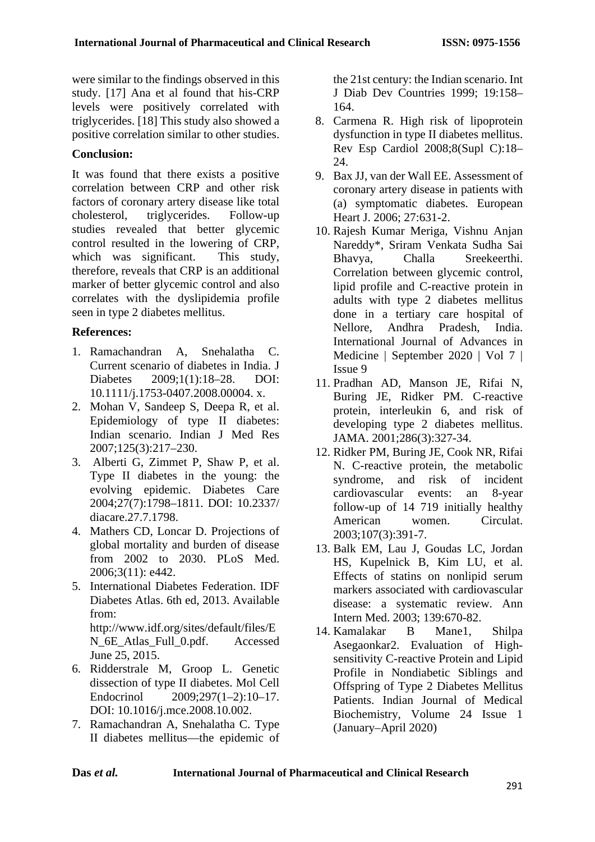were similar to the findings observed in this study. [17] Ana et al found that his-CRP levels were positively correlated with triglycerides. [18] This study also showed a positive correlation similar to other studies.

## **Conclusion:**

It was found that there exists a positive correlation between CRP and other risk factors of coronary artery disease like total cholesterol, triglycerides. Follow-up studies revealed that better glycemic control resulted in the lowering of CRP, which was significant. This study, therefore, reveals that CRP is an additional marker of better glycemic control and also correlates with the dyslipidemia profile seen in type 2 diabetes mellitus.

# **References:**

- 1. Ramachandran A, Snehalatha C. Current scenario of diabetes in India. J Diabetes 2009;1(1):18–28. DOI: 10.1111/j.1753-0407.2008.00004. x.
- 2. Mohan V, Sandeep S, Deepa R, et al. Epidemiology of type II diabetes: Indian scenario. Indian J Med Res 2007;125(3):217–230.
- 3. Alberti G, Zimmet P, Shaw P, et al. Type II diabetes in the young: the evolving epidemic. Diabetes Care 2004;27(7):1798–1811. DOI: 10.2337/ diacare.27.7.1798.
- 4. Mathers CD, Loncar D. Projections of global mortality and burden of disease from 2002 to 2030. PLoS Med. 2006;3(11): e442.
- 5. International Diabetes Federation. IDF Diabetes Atlas. 6th ed, 2013. Available from: http://www.idf.org/sites/default/files/E N\_6E\_Atlas\_Full\_0.pdf. Accessed June 25, 2015.
- 6. Ridderstrale M, Groop L. Genetic dissection of type II diabetes. Mol Cell Endocrinol 2009;297(1–2):10–17. DOI: 10.1016/j.mce.2008.10.002.
- 7. Ramachandran A, Snehalatha C. Type II diabetes mellitus—the epidemic of

the 21st century: the Indian scenario. Int J Diab Dev Countries 1999; 19:158– 164.

- 8. Carmena R. High risk of lipoprotein dysfunction in type II diabetes mellitus. Rev Esp Cardiol 2008;8(Supl C):18– 24.
- 9. Bax JJ, van der Wall EE. Assessment of coronary artery disease in patients with (a) symptomatic diabetes. European Heart J. 2006; 27:631-2.
- 10. Rajesh Kumar Meriga, Vishnu Anjan Nareddy\*, Sriram Venkata Sudha Sai Bhavya, Challa Sreekeerthi. Correlation between glycemic control, lipid profile and C-reactive protein in adults with type 2 diabetes mellitus done in a tertiary care hospital of Nellore, Andhra Pradesh, India. International Journal of Advances in Medicine | September 2020 | Vol 7 | Issue 9
- 11. Pradhan AD, Manson JE, Rifai N, Buring JE, Ridker PM. C-reactive protein, interleukin 6, and risk of developing type 2 diabetes mellitus. JAMA. 2001;286(3):327-34.
- 12. Ridker PM, Buring JE, Cook NR, Rifai N. C-reactive protein, the metabolic syndrome, and risk of incident cardiovascular events: an 8-year follow-up of 14 719 initially healthy American women. Circulat. 2003;107(3):391-7.
- 13. Balk EM, Lau J, Goudas LC, Jordan HS, Kupelnick B, Kim LU, et al. Effects of statins on nonlipid serum markers associated with cardiovascular disease: a systematic review. Ann Intern Med. 2003; 139:670-82.
- 14. Kamalakar B Mane1, Shilpa Asegaonkar2. Evaluation of Highsensitivity C-reactive Protein and Lipid Profile in Nondiabetic Siblings and Offspring of Type 2 Diabetes Mellitus Patients. Indian Journal of Medical Biochemistry, Volume 24 Issue 1 (January–April 2020)